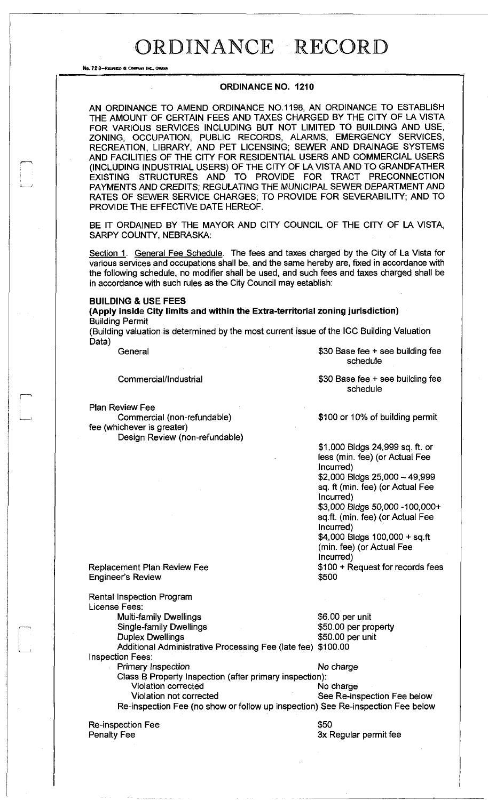No. 72 8-REDFIELD & COMPANY INC., OMAHA

#### **ORDINANCE NO. 1210**

AN ORDINANCE TO AMEND ORDINANCE NO.1198, AN ORDINANCE TO ESTABLISH THE AMOUNT OF CERTAIN FEES AND TAXES CHARGED BY THE CITY OF LA VISTA FOR VARIOUS SERVICES INCLUDING BUT NOT LIMITED TO BUILDING AND USE, ZONING, OCCUPATION, PUBLIC RECORDS, ALARMS, EMERGENCY SERVICES, RECREATION, LIBRARY, AND PET LICENSING; SEWER AND DRAINAGE SYSTEMS AND FACILITIES OF THE CITY FOR RESIDENTIAL USERS AND COMMERCIAL USERS (INCLUDING INDUSTRIAL USERS) OF THE CITY OF LA VISTA AND TO GRANDFATHER EXISTING STRUCTURES AND TO PROVIDE FOR TRACT PRECONNECTION PAYMENTS AND CREDITS; REGULATING THE MUNICIPAL SEWER DEPARTMENT AND RATES OF SEWER SERVICE CHARGES; TO PROVIDE FOR SEVERABILITY; AND TO PROVIDE THE EFFECTIVE DATE HEREOF.

BE IT ORDAINED BY THE MAYOR AND CITY COUNCIL OF THE CITY OF LA VISTA, SARPY COUNTY, NEBRASKA:

Section 1. General Fee Schedule. The fees and taxes charged by the City of La Vista for various services and occupations shall be, and the same hereby are, fixed in accordance with the following schedule, no modifier shall be used, and such fees and taxes charged shall be in accordance with such rules as the City Council may establish:

#### **BUILDING & USE FEES**

**(Apply inside City limits and within the Extra-territorial zoning jurisdiction)**  Building Permit

(Building valuation is determined by the most current issue of the ICC Building Valuation Data)

General **6**30 Base fee + see building fee

Commercial/Industrial

Plan Review Fee

i—••

Commercial (non-refundable) fee (whichever is greater) Design Review (non-refundable) \$30 Base fee + see building fee

schedule

schedule

\$100 or 10% of building permit

\$1,000 Bldgs 24,999 sq. ft. or less (min. fee) (or Actual Fee Incurred) \$2,000 Bldgs 25,000 - 49,999 sq. ft (min. fee) (or Actual Fee Incurred) \$3,000 Bldgs 50,000 -100,000+

sq.ft. (min. fee) (or Actual Fee Incurred) \$4,000 Bldgs 100,000 + sq.ft (min. fee) (or Actual Fee

Incurred) \$100 + Request for records fees

\$500

Replacement Plan Review Fee Engineer's Review

\$6.00 per unit \$50.00 per property \$50.00 per unit Additional Administrative Processing Fee (late fee) \$100.00 Rental Inspection Program License Fees: Multi-family Dwellings Single-family Dwellings Duplex Dwellings Inspection Fees: Primary Inspection No charge Class B Property Inspection (after primary inspection): Violation corrected Violation not corrected See Re-inspection Fee below Re-inspection Fee (no show or follow up inspection) See Re-inspection Fee below \$50

Re-inspection Fee Penalty Fee

3x Regular permit fee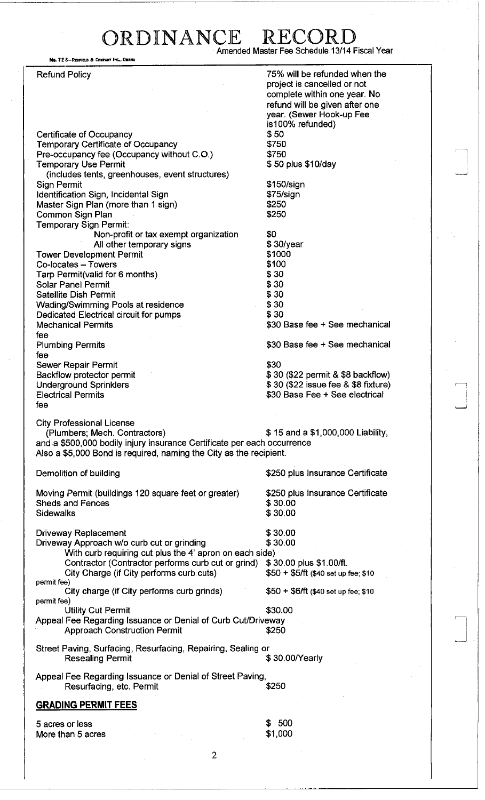### ORDINANCE RECOR Amended Master Fee Schedule 13/14 Fiscal Year

No. 72 8-REDFIELD & COMPANY INC., OMAHA

Refund Policy Certificate of Occupancy Temporary Certificate of Occupancy Pre-occupancy fee (Occupancy without C.O.) Temporary Use Permit (includes tents, greenhouses, event structures) Sign Permit Identification Sign, Incidental Sign Master Sign Plan (more than 1 sign) Common Sign Plan Temporary Sign Permit: Non-profit or tax exempt organization All other temporary signs Tower Development Permit Co-locates - Towers Tarp Permit(valid for 6 months) Solar Panel Permit Satellite Dish Permit Wading/Swimming Pools at residence Dedicated Electrical circuit for pumps Mechanical Permits fee Plumbing Permits fee Sewer Repair Permit Backflow protector permit Underground Sprinklers Electrical Permits fee 75% will be refunded when the project is cancelled or not complete within one year. No refund will be given after one year. (Sewer Hook-up Fee is100% refunded) \$50 \$750 \$750 \$ 50 plus \$10/day \$150/sign \$75/sign \$250 \$250 \$0 \$ 30/year \$1000 \$100 \$30 \$30 \$30 \$30 \$30 \$30 Base fee + See mechanical \$30 Base fee + See mechanical \$30 \$ 30 (\$22 permit & \$8 backflow) \$ 30 (\$22 issue fee & \$8 fixture) \$30 Base Fee + See electrical City Professional License (Plumbers; Mech. Contractors) \$ 15 and a \$1,000,000 Liability, and a \$500,000 bodily injury insurance Certificate per each occurrence Also a \$5,000 Bond is required, naming the City as the recipient. Demolition of building Moving Permit (buildings 120 square feet or greater) Sheds and Fences **Sidewalks** \$250 plus Insurance Certificate \$250 plus Insurance Certificate \$30.00 \$30.00 Driveway Replacement<br>Driveway Approach w/o curb cut or grinding  $$30.00$ Driveway Approach w/o curb cut or grinding With curb requiring cut plus the 4' apron on each side) Contractor (Contractor performs curb cut or grind) \$ 30.00 plus \$1.00/ft. City Charge (if City performs curb cuts) \$50 + \$5/ft (\$40 set up fee; \$10 permit fee) City charge (if City performs curb grinds)  $$50 + $6/ft$  (\$40 set up fee; \$10) permit fee) Utility Cut Permit \$30.00 Appeal Fee Regarding Issuance or Denial of Curb Cut/Driveway Approach Construction Permit  $$250$ Street Paving, Surfacing, Resurfacing, Repairing, Sealing or Resealing Permit  $$ 30.00$ /Yearly Appeal Fee Regarding Issuance or Denial of Street Paving, Resurfacing, etc. Permit  $$250$ GRADING PERMIT FEES 5 acres or less \$ 500

More than 5 acres

\$1,000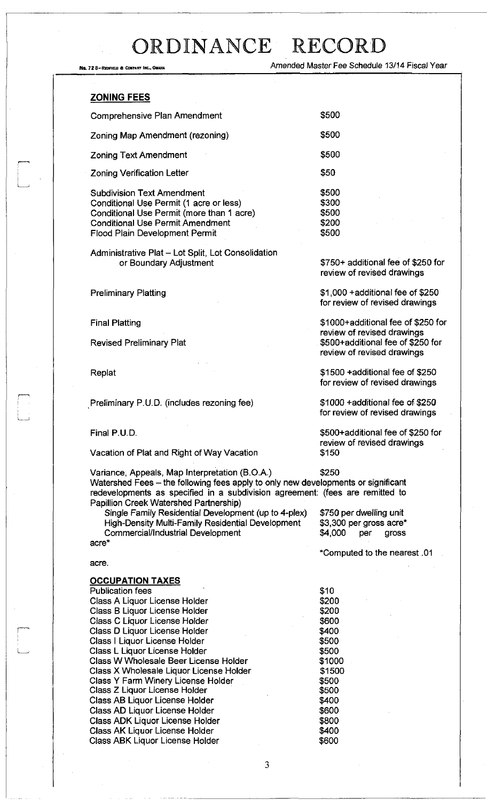No. 72 8-REDNELD & COMPANY INC., OMAHA COMPANY AND REDUCED MARINE AMENDED MASTER Fee Schedule 13/14 Fiscal Year

#### ZONING FEES

| <b>Comprehensive Plan Amendment</b>                                                                                                                                  | \$500                            |
|----------------------------------------------------------------------------------------------------------------------------------------------------------------------|----------------------------------|
| Zoning Map Amendment (rezoning)                                                                                                                                      | \$500                            |
| <b>Zoning Text Amendment</b>                                                                                                                                         | \$500                            |
| <b>Zoning Verification Letter</b>                                                                                                                                    | \$50                             |
| <b>Subdivision Text Amendment</b><br>Conditional Use Permit (1 acre or less)<br>Conditional Use Permit (more than 1 acre)<br><b>Conditional Use Permit Amendment</b> | \$500<br>\$300<br>\$500<br>\$200 |

Administrative Plat - Lot Split, Lot Consolidation or Boundary Adjustment

Flood Plain Development Permit

Preliminary Platting

Final Platting

Revised Preliminary Plat

Replat

Preliminary P.U.D. (includes rezoning fee)

Final P.U.D.

Vacation of Plat and Right of Way Vacation

Variance, Appeals, Map Interpretation (B.O.A.) \$250 Watershed Fees - the following fees apply to only new developments or significant redevelopments as specified in a subdivision agreement: (fees are remitted to Papillion Creek Watershed Partnership)

Single Family Residential Development (up to 4-plex) High-Density Multi-Family Residential Development Commercial/Industrial Development acre\*

\$750 per dwelling unit

\$3,300 per gross acre\* \$4,000 per gross

'Computed to the nearest .01

#### acre.

^ 1 1 •

#### **OCCUPATION TAXES**

| <b>Publication fees</b>                 | \$10   |
|-----------------------------------------|--------|
| Class A Liquor License Holder           | \$200  |
| Class B Liquor License Holder           | \$200  |
| Class C Liquor License Holder           | \$600  |
| Class D Liquor License Holder           | \$400  |
| Class   Liquor License Holder           | \$500  |
| Class L Liquor License Holder           | \$500  |
| Class W Wholesale Beer License Holder   | \$1000 |
| Class X Wholesale Liquor License Holder | \$1500 |
| Class Y Farm Winery License Holder      | \$500  |
| Class Z Liquor License Holder           | \$500  |
| Class AB Liquor License Holder          | \$400  |
| Class AD Liquor License Holder          | \$600  |
| Class ADK Liquor License Holder         | \$800  |
| <b>Class AK Liguor License Holder</b>   | \$400  |
| Class ABK Liquor License Holder         | \$600  |

3

\$750+ additional fee of \$250 for review of revised drawings

\$500

\$1,000 +additional fee of \$250 for review of revised drawings

\$1000+additional fee of \$250 for review of revised drawings \$500+additional fee of \$250 for review of revised drawings

\$1500 +additional fee of \$250 for review of revised drawings

\$1000 +additional fee of \$250 for review of revised drawings

\$500+additional fee of \$250 for review of revised drawings \$150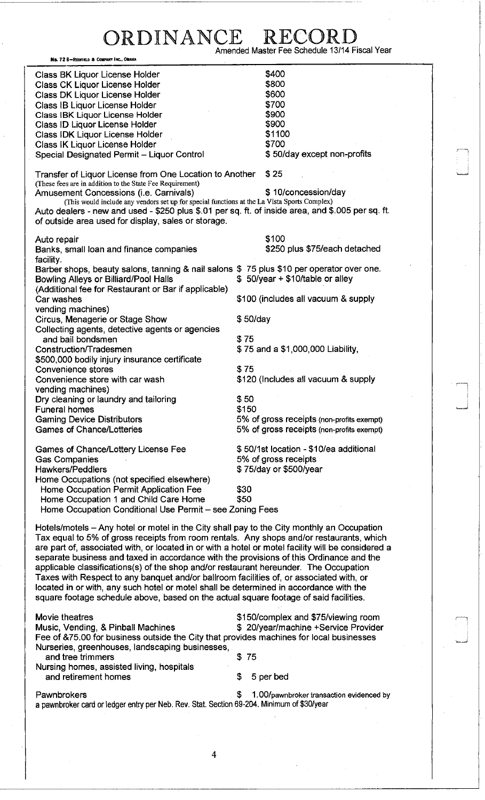# ORDINANCE RECORD<br>Amended Master Fee Schedule 13/14 Fiscal Year

—,

r—i

| No. 72 8-REDFIELD & COMPANY INC., OMAHA                                                                   |          |                                           |
|-----------------------------------------------------------------------------------------------------------|----------|-------------------------------------------|
| Class BK Liquor License Holder                                                                            |          | \$400                                     |
| <b>Class CK Liquor License Holder</b>                                                                     |          | \$800                                     |
| Class DK Liquor License Holder                                                                            |          | \$600                                     |
| Class IB Liquor License Holder                                                                            |          | \$700                                     |
| Class IBK Liquor License Holder                                                                           |          | \$900                                     |
| Class ID Liquor License Holder                                                                            |          | \$900                                     |
| Class IDK Liquor License Holder                                                                           |          | \$1100                                    |
| Class IK Liquor License Holder                                                                            |          | \$700                                     |
| Special Designated Permit - Liquor Control                                                                |          | \$50/day except non-profits               |
|                                                                                                           |          |                                           |
| Transfer of Liquor License from One Location to Another                                                   |          | \$25                                      |
| (These fees are in addition to the State Fee Requirement)                                                 |          |                                           |
| Amusement Concessions (i.e. Carnivals)                                                                    |          | \$10/concession/day                       |
| (This would include any vendors set up for special functions at the La Vista Sports Complex)              |          |                                           |
| Auto dealers - new and used - \$250 plus \$.01 per sq. ft. of inside area, and \$.005 per sq. ft.         |          |                                           |
| of outside area used for display, sales or storage.                                                       |          |                                           |
|                                                                                                           |          |                                           |
| Auto repair                                                                                               |          | \$100                                     |
| Banks, small loan and finance companies                                                                   |          | \$250 plus \$75/each detached             |
| facility.                                                                                                 |          |                                           |
| Barber shops, beauty salons, tanning & nail salons \$75 plus \$10 per operator over one.                  |          |                                           |
| <b>Bowling Alleys or Billiard/Pool Halls</b>                                                              |          | \$50/year + \$10/table or alley           |
| (Additional fee for Restaurant or Bar if applicable)                                                      |          |                                           |
| Car washes                                                                                                |          | \$100 (includes all vacuum & supply       |
| vending machines)                                                                                         |          |                                           |
| Circus, Menagerie or Stage Show                                                                           | \$50/day |                                           |
| Collecting agents, detective agents or agencies                                                           |          |                                           |
| and bail bondsmen                                                                                         | \$75     |                                           |
| Construction/Tradesmen                                                                                    |          | \$75 and a \$1,000,000 Liability,         |
| \$500,000 bodily injury insurance certificate                                                             |          |                                           |
| Convenience stores                                                                                        | \$75     |                                           |
| Convenience store with car wash                                                                           |          | \$120 (Includes all vacuum & supply       |
| vending machines)                                                                                         |          |                                           |
| Dry cleaning or laundry and tailoring                                                                     | \$50     |                                           |
| <b>Funeral homes</b>                                                                                      | \$150    |                                           |
| <b>Gaming Device Distributors</b>                                                                         |          | 5% of gross receipts (non-profits exempt) |
| <b>Games of Chance/Lotteries</b>                                                                          |          | 5% of gross receipts (non-profits exempt) |
|                                                                                                           |          |                                           |
| Games of Chance/Lottery License Fee                                                                       |          | \$50/1st location - \$10/ea additional    |
| <b>Gas Companies</b>                                                                                      |          | 5% of gross receipts                      |
| <b>Hawkers/Peddlers</b>                                                                                   |          | \$75/day or \$500/year                    |
| Home Occupations (not specified elsewhere)                                                                |          |                                           |
| Home Occupation Permit Application Fee                                                                    | \$30     |                                           |
| Home Occupation 1 and Child Care Home                                                                     | \$50     |                                           |
| Home Occupation Conditional Use Permit - see Zoning Fees                                                  |          |                                           |
|                                                                                                           |          |                                           |
| Hotels/motels – Any hotel or motel in the City shall pay to the City monthly an Occupation                |          |                                           |
| Tax equal to 5% of gross receipts from room rentals. Any shops and/or restaurants, which                  |          |                                           |
| are part of, associated with, or located in or with a hotel or motel facility will be considered a        |          |                                           |
| separate business and taxed in accordance with the provisions of this Ordinance and the                   |          |                                           |
| applicable classifications(s) of the shop and/or restaurant hereunder. The Occupation                     |          |                                           |
| Taxes with Respect to any banquet and/or ballroom facilities of, or associated with, or                   |          |                                           |
| located in or with, any such hotel or motel shall be determined in accordance with the                    |          |                                           |
| square footage schedule above, based on the actual square footage of said facilities.                     |          |                                           |
|                                                                                                           |          |                                           |
| Movie theatres                                                                                            |          | \$150/complex and \$75/viewing room       |
| Music, Vending, & Pinball Machines                                                                        |          | \$ 20/year/machine +Service Provider      |
| Fee of &75.00 for business outside the City that provides machines for local businesses                   |          |                                           |
| Nurseries, greenhouses, landscaping businesses,                                                           |          |                                           |
| and tree trimmers                                                                                         | \$75     |                                           |
| Nursing homes, assisted living, hospitals                                                                 |          |                                           |
| and retirement homes                                                                                      | \$       | 5 per bed                                 |
|                                                                                                           |          |                                           |
| Pawnbrokers<br>a pawnbroker card or ledger entry per Neb. Rev. Stat. Section 69-204. Minimum of \$30/year | S        | 1.00/pawnbroker transaction evidenced by  |
|                                                                                                           |          |                                           |
|                                                                                                           |          |                                           |
|                                                                                                           |          |                                           |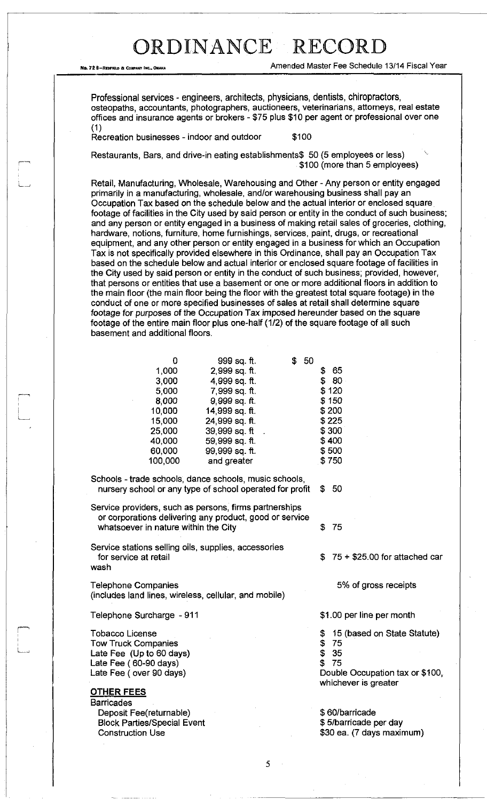No. 72 8-REOFIELD & COMPARY INC.. OWAKY INC.. ON AMERICAL AMERICAL AMERICAL AMERICAL PROPERTY OF A FISCAL Year

Professional services - engineers, architects, physicians, dentists, chiropractors, osteopaths, accountants, photographers, auctioneers, veterinarians, attorneys, real estate offices and insurance agents or brokers - \$75 plus \$10 per agent or professional over one (1)

Recreation businesses - indoor and outdoor \$100

Restaurants, Bars, and drive-in eating establishments\$ 50 (5 employees or less) ^ \$100 (more than 5 employees)

Retail, Manufacturing, Wholesale, Warehousing and Other - Any person or entity engaged primarily in a manufacturing, wholesale, and/or warehousing business shall pay an Occupation Tax based on the schedule below and the actual interior or enclosed square footage of facilities in the City used by said person or entity in the conduct of such business; and any person or entity engaged in a business of making retail sales of groceries, clothing, hardware, notions, furniture, home furnishings, services, paint, drugs, or recreational equipment, and any other person or entity engaged in a business for which an Occupation Tax is not specifically provided elsewhere in this Ordinance, shall pay an Occupation Tax based on the schedule below and actual interior or enclosed square footage of facilities in the City used by said person or entity in the conduct of such business; provided, however, that persons or entities that use a basement or one or more additional floors in addition to the main floor (the main floor being the floor with the greatest total square footage) in the conduct of one or more specified businesses of sales at retail shall determine square footage for purposes of the Occupation Tax imposed hereunder based on the square footage of the entire main floor plus one-half (1/2) of the square footage of all such basement and additional floors.

| O<br>1,000<br>3,000<br>5,000<br>8,000 | 999 sq. ft.<br>2,999 sq. ft.<br>4,999 sq. ft.<br>7,999 sq. ft.<br>9,999 sq. ft. | \$50 | 65<br>S<br>\$80<br>\$120<br>\$150 |
|---------------------------------------|---------------------------------------------------------------------------------|------|-----------------------------------|
| 10,000<br>15,000<br>25,000            | 14,999 sq. ft.<br>24,999 sq. ft.<br>39.999 sq. ft                               |      | \$200<br>\$225<br>\$300           |
| 40,000<br>60,000<br>100,000           | 59,999 sq. ft.<br>99,999 sq. ft.<br>and greater                                 |      | \$400<br>\$500<br>\$750           |
|                                       |                                                                                 |      |                                   |

Schools - trade schools, dance schools, music schools, nursery school or any type of school operated for profit \$ 50

Service providers, such as persons, firms partnerships or corporations delivering any product, good or service whatsoever in nature within the City  $$75$ 

Service stations selling oils, supplies, accessories for service at retail wash

Telephone Companies (includes land lines, wireless, cellular, and mobile)

Telephone Surcharge -911

Tobacco License Tow Truck Companies Late Fee (Up to 60 days) Late Fee ( 60-90 days) Late Fee (over 90 days)

#### OTHER FEES

**Barricades** Deposit Fee(returnable) Block Parties/Special Event Construction Use

\$ 75 + \$25.00 for attached car

5% of gross receipts

\$1.00 per line per month

- \$ 15 (based on State Statute)
- \$ 75
- \$ 35
- \$ 75

Double Occupation tax or \$100, whichever is greater

\$ 60/barricade \$ 5/barricade per day \$30 ea. (7 days maximum)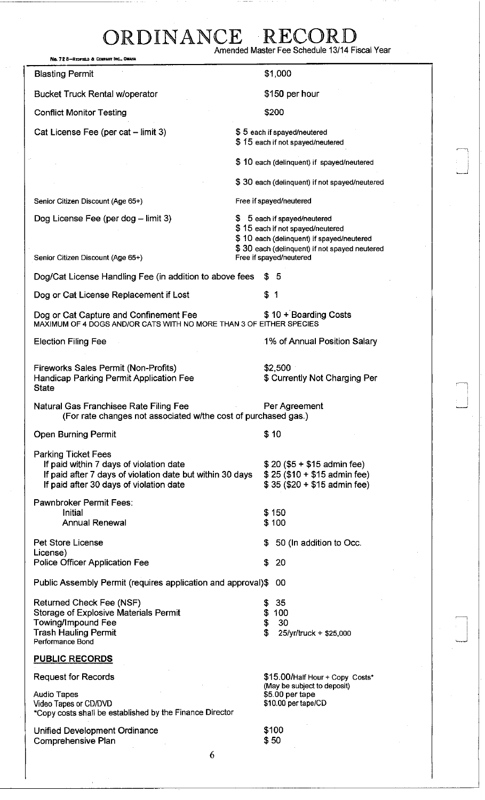| No. 72 8-REDFIELD & COMPANY INC., OMAHA                                                                                                                                       | Amended Master Fee Schedule 13/14 Fiscal Year                                                                                                                  |
|-------------------------------------------------------------------------------------------------------------------------------------------------------------------------------|----------------------------------------------------------------------------------------------------------------------------------------------------------------|
| <b>Blasting Permit</b>                                                                                                                                                        | \$1,000                                                                                                                                                        |
| <b>Bucket Truck Rental w/operator</b>                                                                                                                                         | \$150 per hour                                                                                                                                                 |
| <b>Conflict Monitor Testing</b>                                                                                                                                               | \$200                                                                                                                                                          |
| Cat License Fee (per cat - limit 3)                                                                                                                                           | \$5 each if spayed/neutered<br>\$15 each if not spayed/neutered                                                                                                |
|                                                                                                                                                                               | \$10 each (delinquent) if spayed/neutered                                                                                                                      |
|                                                                                                                                                                               | \$30 each (delinquent) if not spayed/neutered                                                                                                                  |
| Senior Citizen Discount (Age 65+)                                                                                                                                             | Free if spayed/neutered                                                                                                                                        |
| Dog License Fee (per dog - limit 3)                                                                                                                                           | \$ 5 each if spayed/neutered<br>\$15 each if not spayed/neutered<br>\$10 each (delinquent) if spayed/neutered<br>\$30 each (delinquent) if not spayed neutered |
| Senior Citizen Discount (Age 65+)                                                                                                                                             | Free if spayed/neutered                                                                                                                                        |
| Dog/Cat License Handling Fee (in addition to above fees                                                                                                                       | \$5                                                                                                                                                            |
| Dog or Cat License Replacement if Lost                                                                                                                                        | \$1                                                                                                                                                            |
| Dog or Cat Capture and Confinement Fee<br>MAXIMUM OF 4 DOGS AND/OR CATS WITH NO MORE THAN 3 OF EITHER SPECIES                                                                 | \$10 + Boarding Costs                                                                                                                                          |
| <b>Election Filing Fee</b>                                                                                                                                                    | 1% of Annual Position Salary                                                                                                                                   |
| Fireworks Sales Permit (Non-Profits)<br>Handicap Parking Permit Application Fee<br><b>State</b>                                                                               | \$2,500<br>\$ Currently Not Charging Per                                                                                                                       |
| Natural Gas Franchisee Rate Filing Fee<br>(For rate changes not associated withe cost of purchased gas.)                                                                      | Per Agreement                                                                                                                                                  |
| <b>Open Burning Permit</b>                                                                                                                                                    | \$10                                                                                                                                                           |
| <b>Parking Ticket Fees</b><br>If paid within 7 days of violation date<br>If paid after 7 days of violation date but within 30 days<br>If paid after 30 days of violation date | $$20 ($5 + $15$)$ admin fee)<br>$$25 ($10 + $15$)$ admin fee)<br>$$35 ($20 + $15$$ admin fee)                                                                  |
| <b>Pawnbroker Permit Fees:</b><br>Initial                                                                                                                                     | \$150                                                                                                                                                          |
| <b>Annual Renewal</b>                                                                                                                                                         | \$100                                                                                                                                                          |
| Pet Store License                                                                                                                                                             | 50 (In addition to Occ.<br>S                                                                                                                                   |
| License)<br>Police Officer Application Fee                                                                                                                                    | \$<br>20                                                                                                                                                       |
| Public Assembly Permit (requires application and approval)\$                                                                                                                  | 00                                                                                                                                                             |
| Returned Check Fee (NSF)<br>Storage of Explosive Materials Permit<br><b>Towing/Impound Fee</b><br><b>Trash Hauling Permit</b><br>Performance Bond                             | 35<br>\$<br>\$<br>100<br>\$<br>30<br>S<br>25/yr/truck + \$25,000                                                                                               |
| <b>PUBLIC RECORDS</b>                                                                                                                                                         |                                                                                                                                                                |
| <b>Request for Records</b>                                                                                                                                                    | \$15.00/Half Hour + Copy Costs*<br>(May be subject to deposit)                                                                                                 |
| <b>Audio Tapes</b><br>Video Tapes or CD/DVD<br>*Copy costs shall be established by the Finance Director                                                                       | \$5.00 per tape<br>\$10.00 per tape/CD                                                                                                                         |
| Unified Development Ordinance<br>Comprehensive Plan                                                                                                                           | \$100<br>\$50                                                                                                                                                  |
| 6                                                                                                                                                                             |                                                                                                                                                                |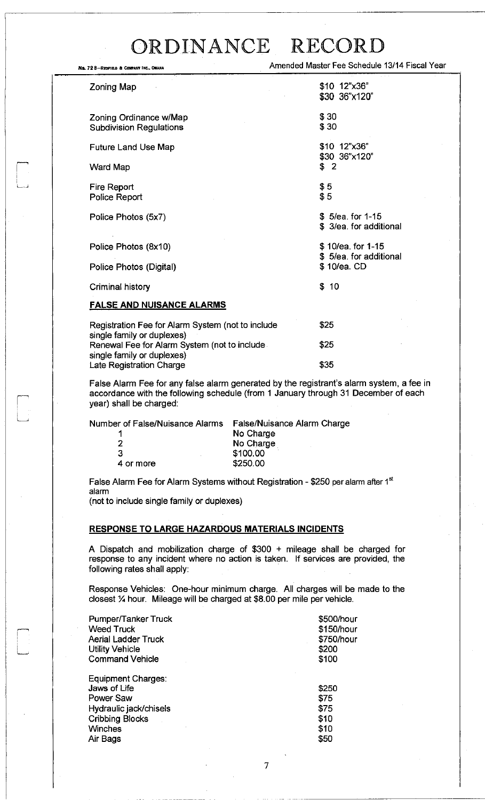Ne. 72 B-REOFFIELD & COMPARY INC., OMAHA Amended Master Fee Schedule 13/14 Fiscal Year

| Zoning Map                                                                      | \$10 12"x36"<br>\$30 36"x120"               |
|---------------------------------------------------------------------------------|---------------------------------------------|
| Zoning Ordinance w/Map<br><b>Subdivision Regulations</b>                        | \$30<br>\$30                                |
| Future Land Use Map                                                             | \$10 12"x36"                                |
| Ward Map                                                                        | \$30 36"x120"<br>\$2                        |
| Fire Report<br>Police Report                                                    | \$5<br>\$5                                  |
| Police Photos (5x7)                                                             | \$ 5/ea for 1-15<br>\$ 3/ea. for additional |
| Police Photos (8x10)                                                            | \$10/ea. for 1-15<br>\$5/ea. for additional |
| Police Photos (Digital)                                                         | \$10/ea. CD                                 |
| Criminal history                                                                | \$10                                        |
| <b>FALSE AND NUISANCE ALARMS</b>                                                |                                             |
| Registration Fee for Alarm System (not to include<br>single family or duplexes) | \$25                                        |
| Renewal Fee for Alarm System (not to include<br>einale family or dunlevee).     | \$25                                        |

single family or du<sub>l</sub> Late Registration Charge

False Alarm Fee for any false alarm generated by the registrant's alarm system, a fee in accordance with the following schedule (from 1 January through 31 December of each year) shall be charged:

\$35

| Number of False/Nuisance Alarms | <b>False/Nuisance Alarm Charge</b> |
|---------------------------------|------------------------------------|
|                                 | No Charge                          |
|                                 | No Charge                          |
| З                               | \$100.00                           |
| 4 or more                       | \$250.00                           |
|                                 |                                    |

False Alarm Fee for Alarm Systems without Registration - \$250 per alarm after 1 alarm

(not to include single family or duplexes)

#### **RESPONSE TO LARGE HAZARDOUS MATERIALS INCIDENTS**

A Dispatch and mobilization charge of \$300 + mileage shall be charged for response to any incident where no action is taken. If services are provided, the following rates shall apply:

Response Vehicles: One-hour minimum charge. All charges will be made to the closest % hour. Mileage will be charged at \$8.00 per mile per vehicle.

| <b>Pumper/Tanker Truck</b>                      | \$500/hour    |
|-------------------------------------------------|---------------|
| <b>Weed Truck</b>                               | \$150/hour    |
| <b>Aerial Ladder Truck</b>                      | \$750/hour    |
| <b>Utility Vehicle</b>                          | \$200         |
| <b>Command Vehicle</b>                          | \$100         |
| Equipment Charges:<br>Jaws of Life<br>Power Saw | \$250<br>\$75 |
| Hydraulic jack/chisels                          | \$75          |
| <b>Cribbing Blocks</b>                          | \$10          |
| Winches                                         | \$10          |
| Air Bags                                        | \$50          |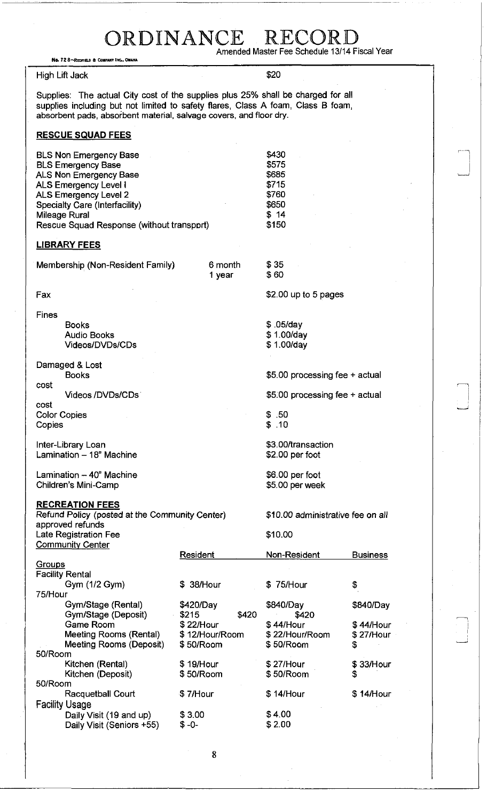| ORDINANCE                                                                                                                                                                                                                                            |                                                                         |                                                                     |                                           |  |
|------------------------------------------------------------------------------------------------------------------------------------------------------------------------------------------------------------------------------------------------------|-------------------------------------------------------------------------|---------------------------------------------------------------------|-------------------------------------------|--|
| Amended Master Fee Schedule 13/14 Fiscal Year<br>No. 72 8-REDFIELD & COMPANY INC., OMAHA                                                                                                                                                             |                                                                         |                                                                     |                                           |  |
| <b>High Lift Jack</b>                                                                                                                                                                                                                                |                                                                         | \$20                                                                |                                           |  |
| Supplies: The actual City cost of the supplies plus 25% shall be charged for all<br>supplies including but not limited to safety flares, Class A foam, Class B foam,<br>absorbent pads, absorbent material, salvage covers, and floor dry.           |                                                                         |                                                                     |                                           |  |
| <b>RESCUE SQUAD FEES</b>                                                                                                                                                                                                                             |                                                                         |                                                                     |                                           |  |
| <b>BLS Non Emergency Base</b><br><b>BLS Emergency Base</b><br>ALS Non Emergency Base<br><b>ALS Emergency Level I</b><br><b>ALS Emergency Level 2</b><br>Specialty Care (Interfacility)<br>Mileage Rural<br>Rescue Squad Response (without transport) |                                                                         | \$430<br>\$575<br>\$685<br>\$715<br>\$760<br>\$650<br>\$14<br>\$150 |                                           |  |
| <b>LIBRARY FEES</b>                                                                                                                                                                                                                                  |                                                                         |                                                                     |                                           |  |
| Membership (Non-Resident Family)                                                                                                                                                                                                                     | 6 month<br>1 year                                                       | \$35<br>\$60                                                        |                                           |  |
| Fax                                                                                                                                                                                                                                                  |                                                                         | \$2.00 up to 5 pages                                                |                                           |  |
| <b>Fines</b><br><b>Books</b><br><b>Audio Books</b><br><b>Videos/DVDs/CDs</b>                                                                                                                                                                         |                                                                         | $$.05$ /day<br>\$1.00/day<br>\$1.00/day                             |                                           |  |
| Damaged & Lost<br><b>Books</b><br>cost                                                                                                                                                                                                               |                                                                         | \$5.00 processing fee + actual                                      |                                           |  |
| Videos /DVDs/CDs<br>cost                                                                                                                                                                                                                             |                                                                         | \$5.00 processing fee + actual                                      |                                           |  |
| <b>Color Copies</b><br>Copies                                                                                                                                                                                                                        |                                                                         | \$.50<br>\$.10                                                      |                                           |  |
| Inter-Library Loan<br>Lamination - 18" Machine                                                                                                                                                                                                       |                                                                         | \$3.00/transaction<br>\$2.00 per foot                               |                                           |  |
| Lamination - 40" Machine<br>Children's Mini-Camp                                                                                                                                                                                                     |                                                                         | \$6.00 per foot<br>\$5.00 per week                                  |                                           |  |
| <b>RECREATION FEES</b><br>Refund Policy (posted at the Community Center)<br>approved refunds<br>Late Registration Fee<br><b>Community Center</b>                                                                                                     |                                                                         | \$10.00 administrative fee on all<br>\$10.00                        |                                           |  |
| Groups                                                                                                                                                                                                                                               | Resident                                                                | Non-Resident                                                        | <b>Business</b>                           |  |
| <b>Facility Rental</b><br>Gym (1/2 Gym)                                                                                                                                                                                                              | \$ 38/Hour                                                              | 75/Hour                                                             | \$                                        |  |
| 75/Hour<br>Gym/Stage (Rental)<br>Gym/Stage (Deposit)<br><b>Game Room</b><br>Meeting Rooms (Rental)<br>Meeting Rooms (Deposit)<br>50/Room                                                                                                             | \$420/Day<br>\$215<br>\$420<br>\$22/Hour<br>\$12/Hour/Room<br>\$50/Room | \$840/Day<br>\$420<br>\$44/Hour<br>\$22/Hour/Room<br>\$50/Room      | \$840/Day<br>\$44/Hour<br>\$27/Hour<br>\$ |  |
| Kitchen (Rental)<br>Kitchen (Deposit)<br>50/Room                                                                                                                                                                                                     | \$19/Hour<br>\$50/Room                                                  | \$27/Hour<br>\$50/Room                                              | \$33/Hour<br>\$                           |  |
| Racquetball Court                                                                                                                                                                                                                                    | \$7/Hour                                                                | \$14/Hour                                                           | \$14/Hour                                 |  |

Facility Usage Daily Visit (19 and up) \$3.00 \$4.00 Daily Visit (Seniors +55) \$-0- \$2.00

8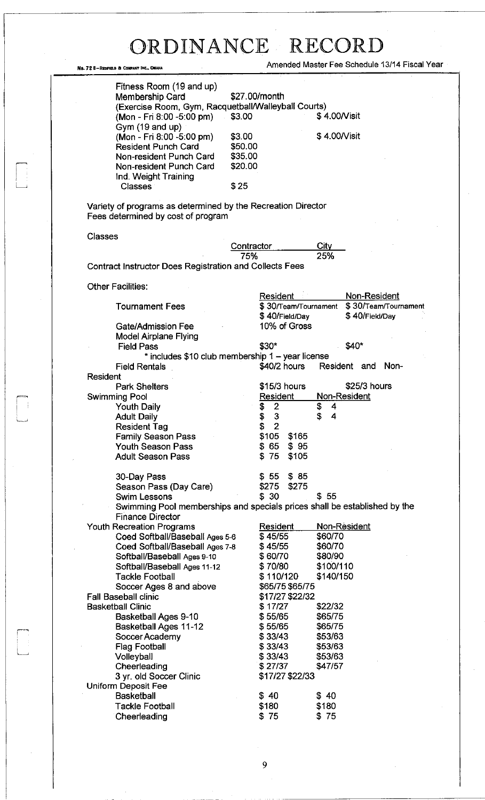$\bar{\bar{z}}$ 

No. 72 8-REDFIELD & COMPANY INC., OMAHA Amended Master Fee Schedule 13/14 Fiscal Year

| Membership Card<br>(Exercise Room, Gym, Racquetball/Walleyball Courts)<br>(Mon - Fri 8:00 -5:00 pm)  | \$3.00     | \$27.00/month                    | \$4.00/Visit                         |
|------------------------------------------------------------------------------------------------------|------------|----------------------------------|--------------------------------------|
| Gym (19 and up)                                                                                      |            |                                  |                                      |
| (Mon - Fri 8:00 -5:00 pm)                                                                            | \$3.00     |                                  | \$4.00/Visit                         |
| <b>Resident Punch Card</b>                                                                           | \$50.00    |                                  |                                      |
| Non-resident Punch Card                                                                              | \$35.00    |                                  |                                      |
| Non-resident Punch Card                                                                              | \$20.00    |                                  |                                      |
| Ind. Weight Training<br><b>Classes</b>                                                               | \$25       |                                  |                                      |
|                                                                                                      |            |                                  |                                      |
| Variety of programs as determined by the Recreation Director<br>Fees determined by cost of program   |            |                                  |                                      |
| <b>Classes</b>                                                                                       |            |                                  |                                      |
|                                                                                                      | Contractor |                                  | City                                 |
|                                                                                                      | 75%        |                                  | 25%                                  |
| <b>Contract Instructor Does Registration and Collects Fees</b>                                       |            |                                  |                                      |
| Other Facilities:                                                                                    |            |                                  |                                      |
| <b>Tournament Fees</b>                                                                               |            | Resident<br>\$30/Team/Tournament | Non-Resident<br>\$30/Team/Tournament |
|                                                                                                      |            | \$40/Field/Day                   | \$40/Field/Day                       |
| Gate/Admission Fee                                                                                   |            | 10% of Gross                     |                                      |
| <b>Model Airplane Flying</b>                                                                         |            |                                  |                                      |
| <b>Field Pass</b>                                                                                    |            | \$30"                            | \$40*                                |
| $*$ includes \$10 club membership 1 – year license                                                   |            |                                  |                                      |
| <b>Field Rentals</b>                                                                                 |            | \$40/2 hours                     | Non-<br>Resident and                 |
| Resident                                                                                             |            |                                  |                                      |
| <b>Park Shelters</b>                                                                                 |            | \$15/3 hours                     | \$25/3 hours                         |
| <b>Swimming Pool</b>                                                                                 |            | Resident                         | Non-Resident                         |
| <b>Youth Daily</b>                                                                                   |            | $\overline{2}$<br>\$             | \$<br>4                              |
| <b>Adult Daily</b>                                                                                   |            | \$<br>$\mathbf{3}$               | \$<br>4                              |
| <b>Resident Tag</b>                                                                                  |            | \$<br>$\overline{2}$             |                                      |
| <b>Family Season Pass</b>                                                                            |            | \$105<br>\$165                   |                                      |
| <b>Youth Season Pass</b>                                                                             |            | \$95<br>\$65                     |                                      |
| <b>Adult Season Pass</b>                                                                             |            | \$105<br>\$75                    |                                      |
| 30-Day Pass                                                                                          |            | \$55<br>\$85                     |                                      |
| Season Pass (Day Care)                                                                               |            | \$275<br>\$275                   |                                      |
| <b>Swim Lessons</b>                                                                                  |            | \$30                             | \$55                                 |
| Swimming Pool memberships and specials prices shall be established by the<br><b>Finance Director</b> |            |                                  |                                      |
| <b>Youth Recreation Programs</b>                                                                     |            | Resident                         | Non-Resident                         |
| Coed Softball/Baseball Ages 5-6                                                                      |            | \$45/55                          | \$60/70                              |
| Coed Softball/Baseball Ages 7-8                                                                      |            | \$45/55                          | \$60/70                              |
| Softball/Baseball Ages 9-10                                                                          |            | \$60/70                          | \$80/90                              |
| Softball/Baseball Ages 11-12<br><b>Tackle Football</b>                                               |            | \$70/80                          | \$100/110                            |
|                                                                                                      |            | \$110/120<br>\$65/75 \$65/75     | \$140/150                            |
| Soccer Ages 8 and above<br><b>Fall Baseball clinic</b>                                               |            | \$17/27 \$22/32                  |                                      |
| <b>Basketball Clinic</b>                                                                             |            | \$17/27                          | \$22/32                              |
| Basketball Ages 9-10                                                                                 |            | \$55/65                          | \$65/75                              |
| <b>Basketball Ages 11-12</b>                                                                         |            | \$55/65                          | \$65/75                              |
| Soccer Academy                                                                                       |            | \$33/43                          | \$53/63                              |
| <b>Flag Football</b>                                                                                 |            | \$33/43                          | \$53/63                              |
|                                                                                                      |            | \$33/43                          | \$53/63                              |
|                                                                                                      |            |                                  | \$47/57                              |
| Volleyball                                                                                           |            | \$27/37                          |                                      |
| Cheerleading<br>3 yr. old Soccer Clinic                                                              |            | \$17/27 \$22/33                  |                                      |
|                                                                                                      |            |                                  |                                      |
| <b>Uniform Deposit Fee</b><br><b>Basketball</b>                                                      |            | \$40                             | \$40                                 |
| Tackle Football                                                                                      |            | \$180                            | \$180                                |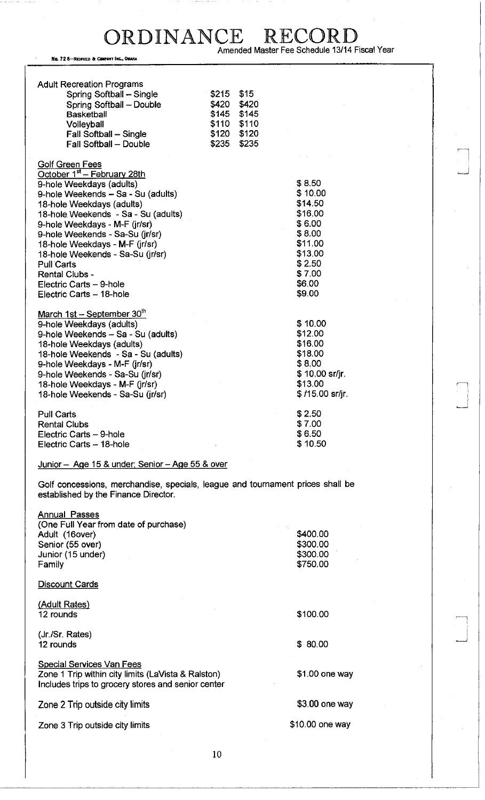No. 72 8-REDFIEU A COMPANY INC.,OMAHA

Golf Green Fees

| Spring Softball - Single | \$215 | \$15  |
|--------------------------|-------|-------|
| Spring Softball - Double | \$420 | \$420 |
| <b>Basketball</b>        | \$145 | \$145 |
| Volleyball               | \$110 | \$110 |
| Fall Softball - Single   | \$120 | \$120 |
| Fall Softball - Double   | \$235 | \$235 |

#### October 1<sup>st</sup> - February 28th 9-hole Weekdays (adults) \$ 8.50 9-hole Weekends – Sa - Su (adults)  $$ 10.00$ <br>18-hole Weekdavs (adults)  $$ 14.50$ 18-hole Weekdays (adults) 18-hole. Weekends - Sa - Su (adults) \$16.00 9-hole Weekdays - M-F (jr/sr) \$ 6.00 9-hole Weekends - Sa-Su (jr/sr) \$ 8.00 18-hole Weekdays - M-F (jr/sr) \$11.00 18-hole Weekends - Sa-Su (jr/sr) \$13.00 Pull Carts \$2.50<br>Rental Clubs - \$2.50<br>\$7.00 Rental Clubs - \$ 7.00<br>Electric Carts – 9-hole \$ 1.00<br>\$6.00 \$6.00 Electric Carts - 9-hole

| March $1st - September 30th$        |                  |
|-------------------------------------|------------------|
| 9-hole Weekdays (adults)            | \$10.00          |
| 9-hole Weekends - Sa - Su (adults)  | \$12.00          |
| 18-hole Weekdays (adults)           | \$16.00          |
| 18-hole Weekends - Sa - Su (adults) | \$18.00          |
| 9-hole Weekdays - M-F (jr/sr)       | \$8.00           |
| 9-hole Weekends - Sa-Su (jr/sr)     | $$10.00$ sr/jr.  |
| 18-hole Weekdays - M-F (jr/sr)      | \$13.00          |
| 18-hole Weekends - Sa-Su (jr/sr)    | $$115.00$ sr/jr. |
| Pull Carts                          | \$2.50           |
| <b>Rental Clubs</b>                 | \$7.00           |
| Electric Carts - 9-hole             | \$6.50           |

 $E$ lectric Carts  $-18$ -hole  $\$9.00$ 

Junior - Age 15 & under: Senior - Age 55 & over

Golf concessions, merchandise, specials, league and tournament prices shall be established by the Finance Director.

Electric Carts - 18-hole \$ 10.50

| \$400.00        |
|-----------------|
| \$300.00        |
| \$300.00        |
| \$750.00        |
|                 |
|                 |
| \$100.00        |
|                 |
| \$80.00         |
|                 |
| \$1.00 one way  |
|                 |
| $$3.00$ one way |
| \$10.00 one way |
|                 |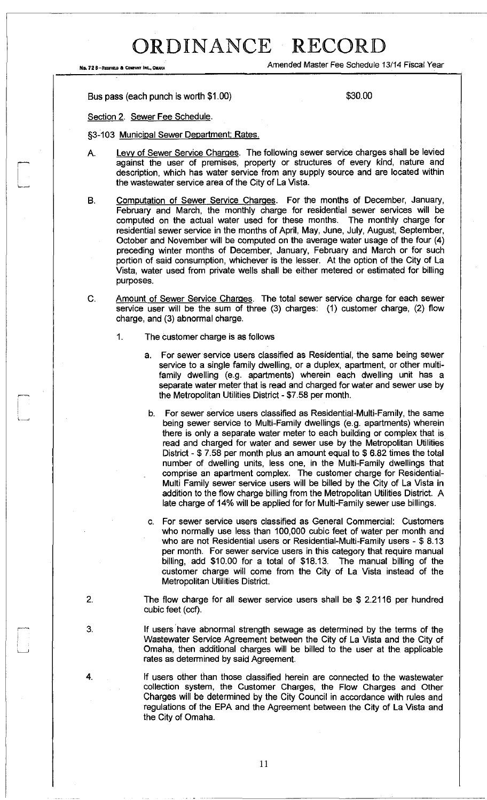No. 72 8-REDFIELD & COMPANT INC., OMAHA Amended Master Fee Schedule 13/14 Fiscal Year

Bus pass (each punch is worth \$1.00) \$30.00

Section 2. Sewer Fee Schedule.

§3-103 Municipal Sewer Department; Rates.

- A. Levy of Sewer Service Charges. The following sewer service charges shall be levied against the user of premises, property or structures of every kind, nature and description, which has water service from any supply source and are located within the wastewater service area of the City of La Vista.
- B. Computation of Sewer Service Charges. For the months of December, January, February and March, the monthly charge for residential sewer services will be computed on the actual water used for these months. The monthly charge for residential sewer service in the months of April, May, June, July, August, September, October and November will be computed on the average water usage of the four (4) preceding winter months of December, January, February and March or for such portion of said consumption, whichever is the lesser. At the option of the City of La Vista, water used from private wells shall be either metered or estimated for billing purposes.
- C. Amount of Sewer Service Charges. The total sewer service charge for each sewer service user will be the sum of three (3) charges: (1) customer charge, (2) flow charge, and (3) abnormal charge.
	- 1. The customer charge is as follows
		- a. For sewer service users classified as Residential, the same being sewer service to a single family dwelling, or a duplex, apartment, or other multifamily dwelling (e.g. apartments) wherein each dwelling unit has a separate water meter that is read and charged for water and sewer use by the Metropolitan Utilities District - \$7.58 per month.
			- b. For sewer service users classified as Residential-Multi-Family, the same being sewer service to Multi-Family dwellings (e.g. apartments) wherein there is only a separate water meter to each building or complex that is read and charged for water and sewer use by the Metropolitan Utilities District - \$ 7.58 per month plus an amount equal to \$ 6.82 times the total number of dwelling units, less one, in the Multi-Family dwellings that comprise an apartment complex. The customer charge for Residential-Multi Family sewer service users will be billed by the City of La Vista in addition to the flow charge billing from the Metropolitan Utilities District. A late charge of 14% will be applied for for Multi-Family sewer use billings.
		- c. For sewer service users classified as General Commercial: Customers who normally use less than 100,000 cubic feet of water per month and who are not Residential users or Residential-Multi-Family users - \$ 8.13 per month. For sewer service users in this category that require manual billing, add \$10.00 for a total of \$18.13. The manual billing of the customer charge will come from the City of La Vista instead of the Metropolitan Utilities District.
- 2. The flow charge for all sewer service users shall be \$ 2.2116 per hundred cubic feet (ccf).
- 3. If users have abnormal strength sewage as determined by the terms of the Wastewater Service Agreement between the City of La Vista and the City of Omaha, then additional charges will be billed to the user at the applicable rates as determined by said Agreement.
- 4. If users other than those classified herein are connected to the wastewater collection system, the Customer Charges, the Flow Charges and Other Charges will be determined by the City Council in accordance with rules and regulations of the EPA and the Agreement between the City of La Vista and the City of Omaha.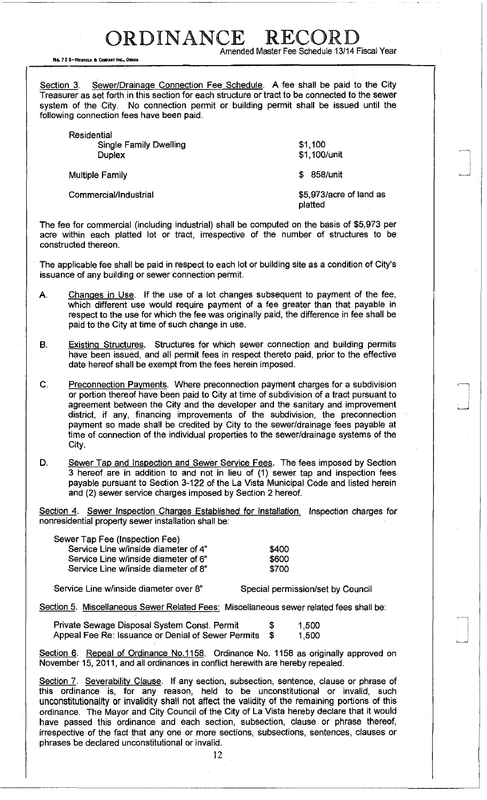ORDINANCE RECOR Amended Master Fee Schedule 13/14 Fiscal Year

No. 72 8-RECFIELD & COMPANY INC., OMAHA

Section 3. Sewer/Drainage Connection Fee Schedule. A fee shall be paid to the City Treasurer as set forth in this section for each structure or tract to be connected to the sewer system of the City. No connection permit or building permit shall be issued until the following connection fees have been paid.

| Residential<br><b>Single Family Dwelling</b><br><b>Duplex</b> | \$1,100<br>\$1,100/unit            |
|---------------------------------------------------------------|------------------------------------|
| <b>Multiple Family</b><br>Article of the Card                 | 858/unit<br>S.                     |
| Commercial/Industrial                                         | \$5,973/acre of land as<br>platted |

The fee for commercial (including industrial) shall be computed on the basis of \$5,973 per acre within each platted lot or tract, irrespective of the number of structures to be constructed thereon.

The applicable fee shall be paid in respect to each lot or building site as a condition of City's issuance of any building or sewer connection permit.

- A. Changes in Use. If the use of a lot changes subsequent to payment of the fee, which different use would require payment of a fee greater than that payable in respect to the use for which the fee was originally paid, the difference in fee shall be paid to the City at time of such change in use.
- B. Existing Structures. Structures for which sewer connection and building permits have been issued, and all permit fees in respect thereto paid, prior to the effective date hereof shall be exempt from the fees herein imposed.
- C. Preconnection Payments. Where preconnection payment charges for a subdivision or portion thereof have been paid to City at time of subdivision of a tract pursuant to agreement between the City and the developer and the sanitary and improvement district, if any, financing improvements of the subdivision, the preconnection payment so made shall be credited by City to the sewer/drainage fees payable at time of connection of the individual properties to the sewer/drainage systems of the City.
- D. Sewer Tap and Inspection and Sewer Service Fees. The fees imposed by Section 3 hereof are in addition to and not in lieu of (1) sewer tap and inspection fees payable pursuant to Section 3-122 of the La Vista Municipal Code and listed herein and (2) sewer service charges imposed by Section 2 hereof.

Section 4. Sewer Inspection Charges Established for Installation. Inspection charges for nonresidential property sewer installation shall be:

| Sewer Tap Fee (Inspection Fee)       |       |
|--------------------------------------|-------|
| Service Line w/inside diameter of 4" | \$400 |
| Service Line w/inside diameter of 6" | \$600 |
| Service Line w/inside diameter of 8" | \$700 |

Service Line w/inside diameter over 8" Special permission/set by Council

Section 5. Miscellaneous Sewer Related Fees: Miscellaneous sewer related fees shall be:

| Private Sewage Disposal System Const. Permit       | S | 1,500 |
|----------------------------------------------------|---|-------|
| Appeal Fee Re: Issuance or Denial of Sewer Permits |   | 1.500 |

Section 6. Repeal of Ordinance No.1158. Ordinance No. 1158 as originally approved on November 15, 2011, and all ordinances in conflict herewith are hereby repealed.

Section 7. Severability Clause. If any section, subsection, sentence, clause or phrase of this ordinance is, for any reason, held to be unconstitutional or invalid, such unconstitutionality or invalidity shall not affect the validity of the remaining portions of this ordinance. The Mayor and City Council of the City of La Vista hereby declare that it would have passed this ordinance and each section, subsection, clause or phrase thereof, irrespective of the fact that any one or more sections, subsections, sentences, clauses or phrases be declared unconstitutional or invalid.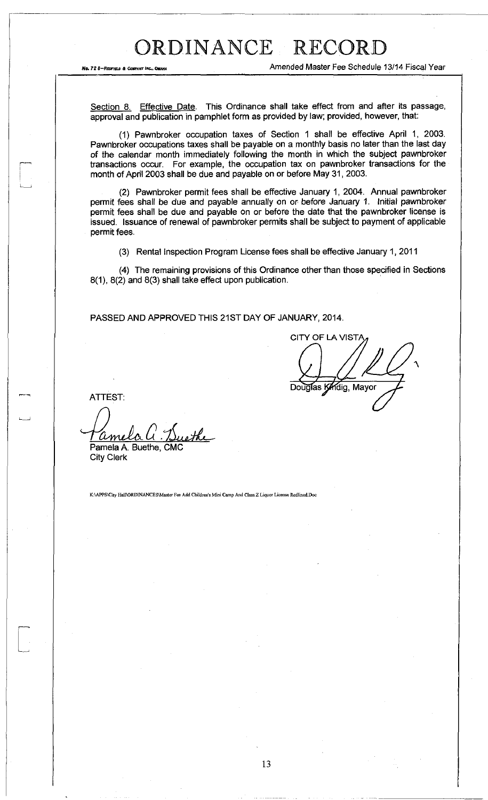No. 72 8-REDIFFEE & COMPANY INC., OMANA AMERICAL TRISCAL PROPERTY AMBRIT FOR SCHEDULE 13/14 FISCAL Year

Section 8. Effective Date. This Ordinance shall take effect from and after its passage, approval and publication in pamphlet form as provided by law; provided, however, that:

(1) Pawnbroker occupation taxes of Section 1 shall be effective April 1, 2003. Pawnbroker occupations taxes shall be payable on a monthly basis no later than the last day of the calendar month immediately following the month in which the subject pawnbroker transactions occur. For example, the occupation tax on pawnbroker transactions for the month of April 2003 shall be due and payable on or before May 31, 2003.

(2) Pawnbroker permit fees shall be effective January 1, 2004. Annual pawnbroker permit fees shall be due and payable annually on or before January 1. Initial pawnbroker permit fees shall be due and payable on or before the date that the pawnbroker license is issued. Issuance of renewal of pawnbroker permits shall be subject to payment of applicable permit fees.

(3) Rental Inspection Program License fees shall be effective January 1, 2011

(4) The remaining provisions of this Ordinance other than those specified in Sections 8(1), 8(2) and 8(3) shall take effect upon publication.

PASSED AND APPROVED THIS 21ST DAY OF JANUARY, 2014.

CITY OF LA VISTA Douglas Kindig, Mayor

**ATTEST:** 

ethe ame Pamela A. Buethe, CMC

City Clerk

K:\APPS\City Hall\ORDINANCES\Master Fee Add Children's Mini Camp And Class Z Liquor License Redlined.Doc